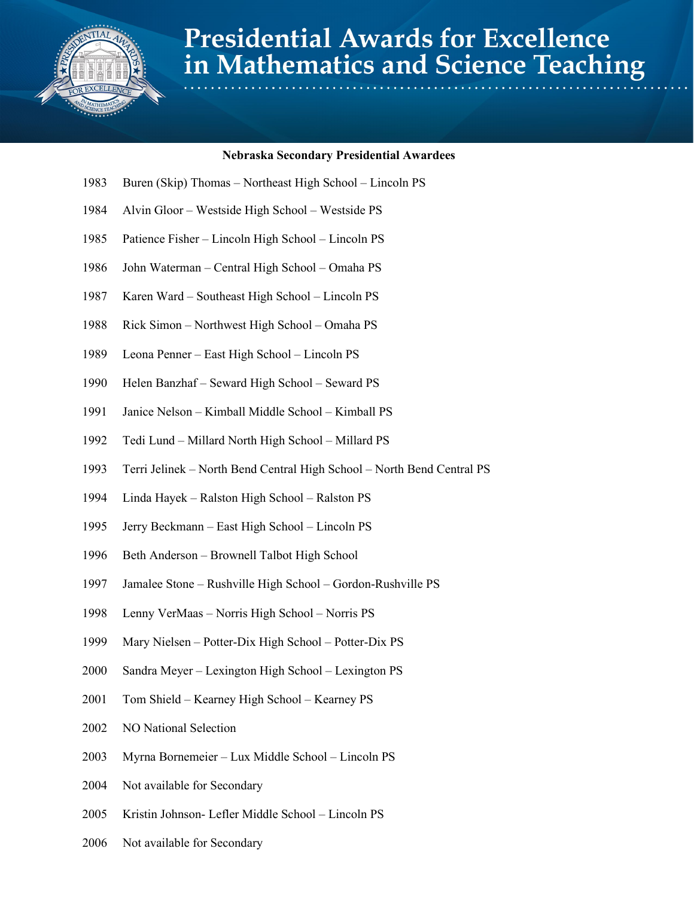

## **Presidential Awards for Excellence** in Mathematics and Science Teaching

## **Nebraska Secondary Presidential Awardees**

- Buren (Skip) Thomas Northeast High School Lincoln PS
- Alvin Gloor Westside High School Westside PS
- Patience Fisher Lincoln High School Lincoln PS
- John Waterman Central High School Omaha PS
- Karen Ward Southeast High School Lincoln PS
- Rick Simon Northwest High School Omaha PS
- Leona Penner East High School Lincoln PS
- Helen Banzhaf Seward High School Seward PS
- Janice Nelson Kimball Middle School Kimball PS
- Tedi Lund Millard North High School Millard PS
- Terri Jelinek North Bend Central High School North Bend Central PS
- Linda Hayek Ralston High School Ralston PS
- Jerry Beckmann East High School Lincoln PS
- Beth Anderson Brownell Talbot High School
- Jamalee Stone Rushville High School Gordon-Rushville PS
- Lenny VerMaas Norris High School Norris PS
- Mary Nielsen Potter-Dix High School Potter-Dix PS
- Sandra Meyer Lexington High School Lexington PS
- Tom Shield Kearney High School Kearney PS
- NO National Selection
- Myrna Bornemeier Lux Middle School Lincoln PS
- Not available for Secondary
- Kristin Johnson- Lefler Middle School Lincoln PS
- Not available for Secondary